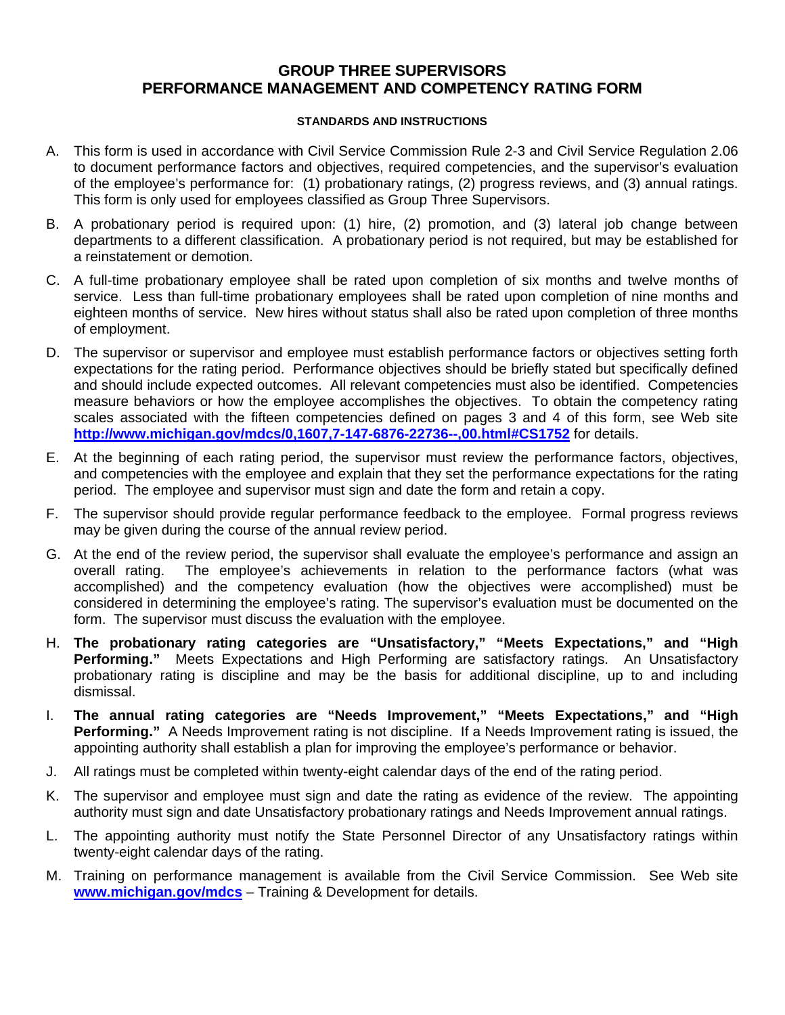# **GROUP THREE SUPERVISORS PERFORMANCE MANAGEMENT AND COMPETENCY RATING FORM**

#### **STANDARDS AND INSTRUCTIONS**

- A. This form is used in accordance with Civil Service Commission Rule 2-3 and Civil Service Regulation 2.06 to document performance factors and objectives, required competencies, and the supervisor's evaluation of the employee's performance for: (1) probationary ratings, (2) progress reviews, and (3) annual ratings. This form is only used for employees classified as Group Three Supervisors.
- B. A probationary period is required upon: (1) hire, (2) promotion, and (3) lateral job change between departments to a different classification. A probationary period is not required, but may be established for a reinstatement or demotion.
- C. A full-time probationary employee shall be rated upon completion of six months and twelve months of service. Less than full-time probationary employees shall be rated upon completion of nine months and eighteen months of service. New hires without status shall also be rated upon completion of three months of employment.
- D. The supervisor or supervisor and employee must establish performance factors or objectives setting forth expectations for the rating period. Performance objectives should be briefly stated but specifically defined and should include expected outcomes. All relevant competencies must also be identified. Competencies measure behaviors or how the employee accomplishes the objectives. To obtain the competency rating scales associated with the fifteen competencies defined on pages 3 and 4 of this form, see Web site **<http://www.michigan.gov/mdcs/0,1607,7-147-6876-22736--,00.html#CS1752>** for details.
- E. At the beginning of each rating period, the supervisor must review the performance factors, objectives, and competencies with the employee and explain that they set the performance expectations for the rating period. The employee and supervisor must sign and date the form and retain a copy.
- F. The supervisor should provide regular performance feedback to the employee. Formal progress reviews may be given during the course of the annual review period.
- G. At the end of the review period, the supervisor shall evaluate the employee's performance and assign an overall rating. The employee's achievements in relation to the performance factors (what was accomplished) and the competency evaluation (how the objectives were accomplished) must be considered in determining the employee's rating. The supervisor's evaluation must be documented on the form. The supervisor must discuss the evaluation with the employee.
- H. **The probationary rating categories are "Unsatisfactory," "Meets Expectations," and "High Performing."** Meets Expectations and High Performing are satisfactory ratings. An Unsatisfactory probationary rating is discipline and may be the basis for additional discipline, up to and including dismissal.
- I. **The annual rating categories are "Needs Improvement," "Meets Expectations," and "High Performing."** A Needs Improvement rating is not discipline. If a Needs Improvement rating is issued, the appointing authority shall establish a plan for improving the employee's performance or behavior.
- J. All ratings must be completed within twenty-eight calendar days of the end of the rating period.
- K. The supervisor and employee must sign and date the rating as evidence of the review. The appointing authority must sign and date Unsatisfactory probationary ratings and Needs Improvement annual ratings.
- L. The appointing authority must notify the State Personnel Director of any Unsatisfactory ratings within twenty-eight calendar days of the rating.
- M. Training on performance management is available from the Civil Service Commission. See Web site **[www.michigan.gov/mdcs](http://www.michigan.gov/mdcs)** – Training & Development for details.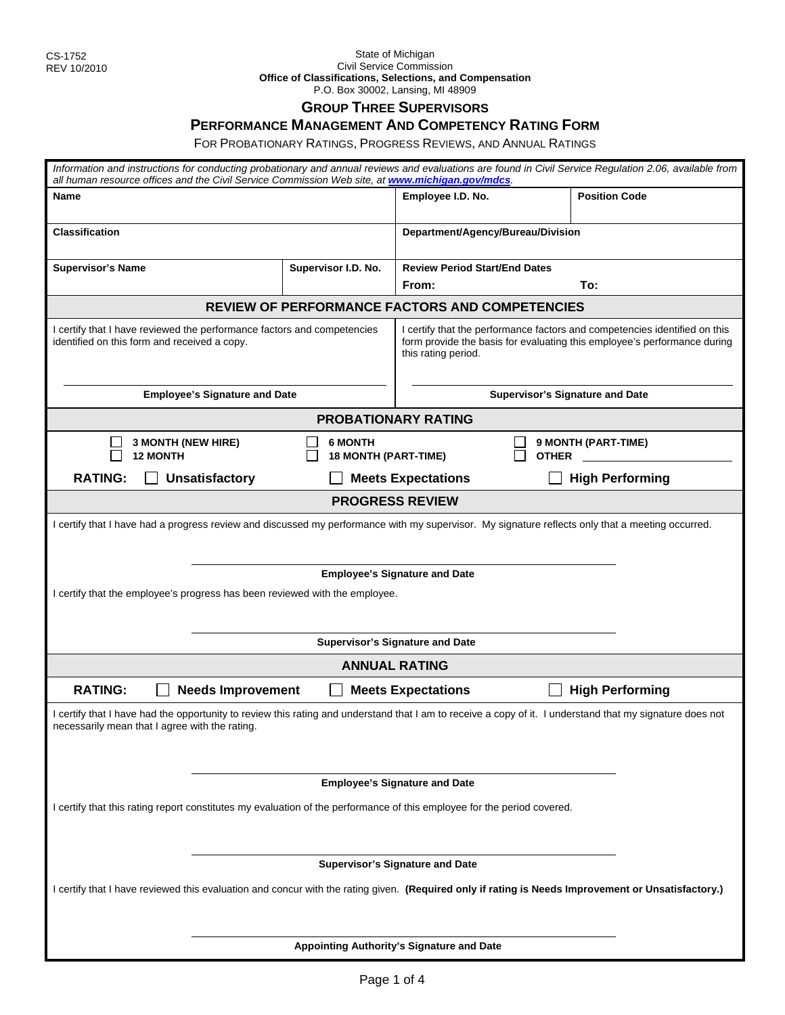#### State of Michigan Civil Service Commission **Office of Classifications, Selections, and Compensation**  P.O. Box 30002, Lansing, MI 48909

## **GROUP THREE SUPERVISORS**

### **PERFORMANCE MANAGEMENT AND COMPETENCY RATING FORM**

FOR PROBATIONARY RATINGS, PROGRESS REVIEWS, AND ANNUAL RATINGS

| Information and instructions for conducting probationary and annual reviews and evaluations are found in Civil Service Regulation 2.06, available from<br>all human resource offices and the Civil Service Commission Web site, at www.michigan.gov/mdcs.               |                                               |                                                                                                                                                                               |                                        |  |
|-------------------------------------------------------------------------------------------------------------------------------------------------------------------------------------------------------------------------------------------------------------------------|-----------------------------------------------|-------------------------------------------------------------------------------------------------------------------------------------------------------------------------------|----------------------------------------|--|
| Name                                                                                                                                                                                                                                                                    |                                               | Employee I.D. No.                                                                                                                                                             | <b>Position Code</b>                   |  |
| <b>Classification</b>                                                                                                                                                                                                                                                   |                                               | Department/Agency/Bureau/Division                                                                                                                                             |                                        |  |
| <b>Supervisor's Name</b>                                                                                                                                                                                                                                                | Supervisor I.D. No.                           | <b>Review Period Start/End Dates</b>                                                                                                                                          |                                        |  |
|                                                                                                                                                                                                                                                                         |                                               | From:                                                                                                                                                                         | To:                                    |  |
|                                                                                                                                                                                                                                                                         |                                               | REVIEW OF PERFORMANCE FACTORS AND COMPETENCIES                                                                                                                                |                                        |  |
| I certify that I have reviewed the performance factors and competencies<br>identified on this form and received a copy.                                                                                                                                                 |                                               | I certify that the performance factors and competencies identified on this<br>form provide the basis for evaluating this employee's performance during<br>this rating period. |                                        |  |
| <b>Employee's Signature and Date</b>                                                                                                                                                                                                                                    |                                               |                                                                                                                                                                               | <b>Supervisor's Signature and Date</b> |  |
|                                                                                                                                                                                                                                                                         |                                               | <b>PROBATIONARY RATING</b>                                                                                                                                                    |                                        |  |
| 3 MONTH (NEW HIRE)<br><b>12 MONTH</b>                                                                                                                                                                                                                                   | <b>6 MONTH</b><br><b>18 MONTH (PART-TIME)</b> |                                                                                                                                                                               | 9 MONTH (PART-TIME)<br><b>OTHER</b>    |  |
| <b>RATING:</b><br><b>Unsatisfactory</b>                                                                                                                                                                                                                                 |                                               | <b>Meets Expectations</b>                                                                                                                                                     | <b>High Performing</b>                 |  |
|                                                                                                                                                                                                                                                                         |                                               | <b>PROGRESS REVIEW</b>                                                                                                                                                        |                                        |  |
| I certify that I have had a progress review and discussed my performance with my supervisor. My signature reflects only that a meeting occurred.<br><b>Employee's Signature and Date</b><br>I certify that the employee's progress has been reviewed with the employee. |                                               |                                                                                                                                                                               |                                        |  |
|                                                                                                                                                                                                                                                                         |                                               | <b>Supervisor's Signature and Date</b>                                                                                                                                        |                                        |  |
|                                                                                                                                                                                                                                                                         |                                               | <b>ANNUAL RATING</b>                                                                                                                                                          |                                        |  |
| <b>RATING:</b><br><b>Needs Improvement</b>                                                                                                                                                                                                                              |                                               | <b>Meets Expectations</b>                                                                                                                                                     | <b>High Performing</b>                 |  |
| I certify that I have had the opportunity to review this rating and understand that I am to receive a copy of it. I understand that my signature does not<br>necessarily mean that I agree with the rating.                                                             |                                               |                                                                                                                                                                               |                                        |  |
|                                                                                                                                                                                                                                                                         |                                               | <b>Employee's Signature and Date</b>                                                                                                                                          |                                        |  |
| I certify that this rating report constitutes my evaluation of the performance of this employee for the period covered.                                                                                                                                                 |                                               |                                                                                                                                                                               |                                        |  |
|                                                                                                                                                                                                                                                                         |                                               | <b>Supervisor's Signature and Date</b>                                                                                                                                        |                                        |  |
| I certify that I have reviewed this evaluation and concur with the rating given. (Required only if rating is Needs Improvement or Unsatisfactory.)                                                                                                                      |                                               |                                                                                                                                                                               |                                        |  |
|                                                                                                                                                                                                                                                                         |                                               | Appointing Authority's Signature and Date                                                                                                                                     |                                        |  |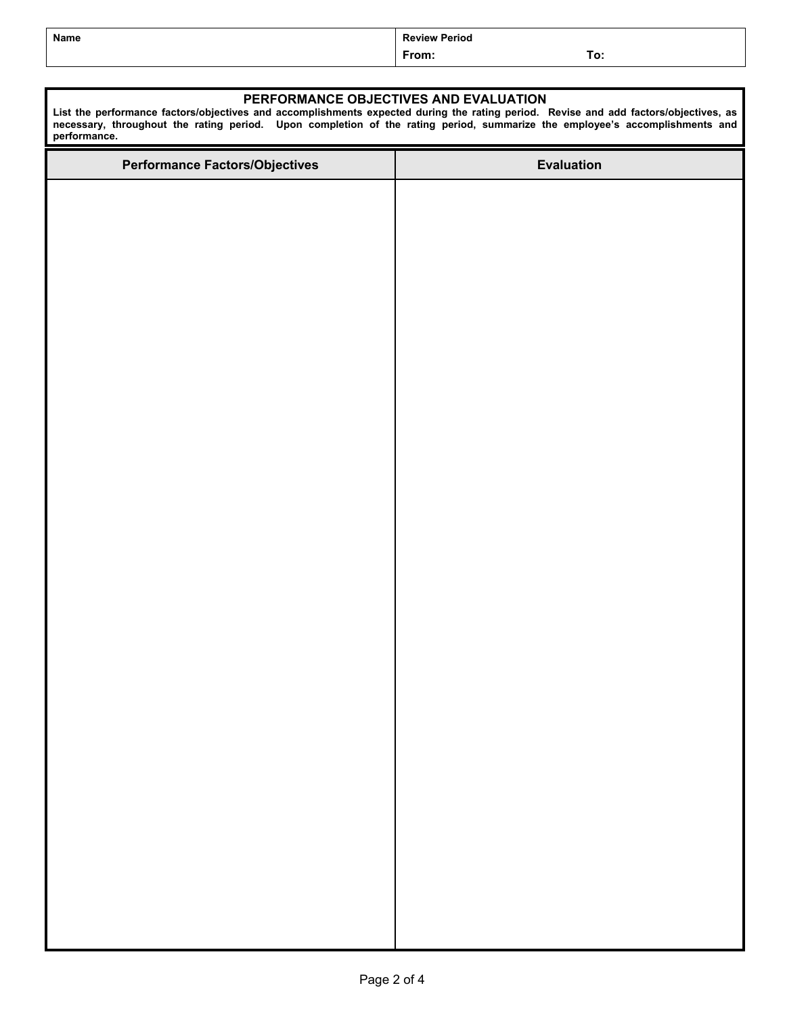| Name | <b>Review Period</b> |            |  |
|------|----------------------|------------|--|
|      | From:                | To:<br>___ |  |

#### **PERFORMANCE OBJECTIVES AND EVALUATION**

**List the performance factors/objectives and accomplishments expected during the rating period. Revise and add factors/objectives, as necessary, throughout the rating period. Upon completion of the rating period, summarize the employee's accomplishments and performance.**

| <b>Performance Factors/Objectives</b> | <b>Evaluation</b> |
|---------------------------------------|-------------------|
|                                       |                   |
|                                       |                   |
|                                       |                   |
|                                       |                   |
|                                       |                   |
|                                       |                   |
|                                       |                   |
|                                       |                   |
|                                       |                   |
|                                       |                   |
|                                       |                   |
|                                       |                   |
|                                       |                   |
|                                       |                   |
|                                       |                   |
|                                       |                   |
|                                       |                   |
|                                       |                   |
|                                       |                   |
|                                       |                   |
|                                       |                   |
|                                       |                   |
|                                       |                   |
|                                       |                   |
|                                       |                   |
|                                       |                   |
|                                       |                   |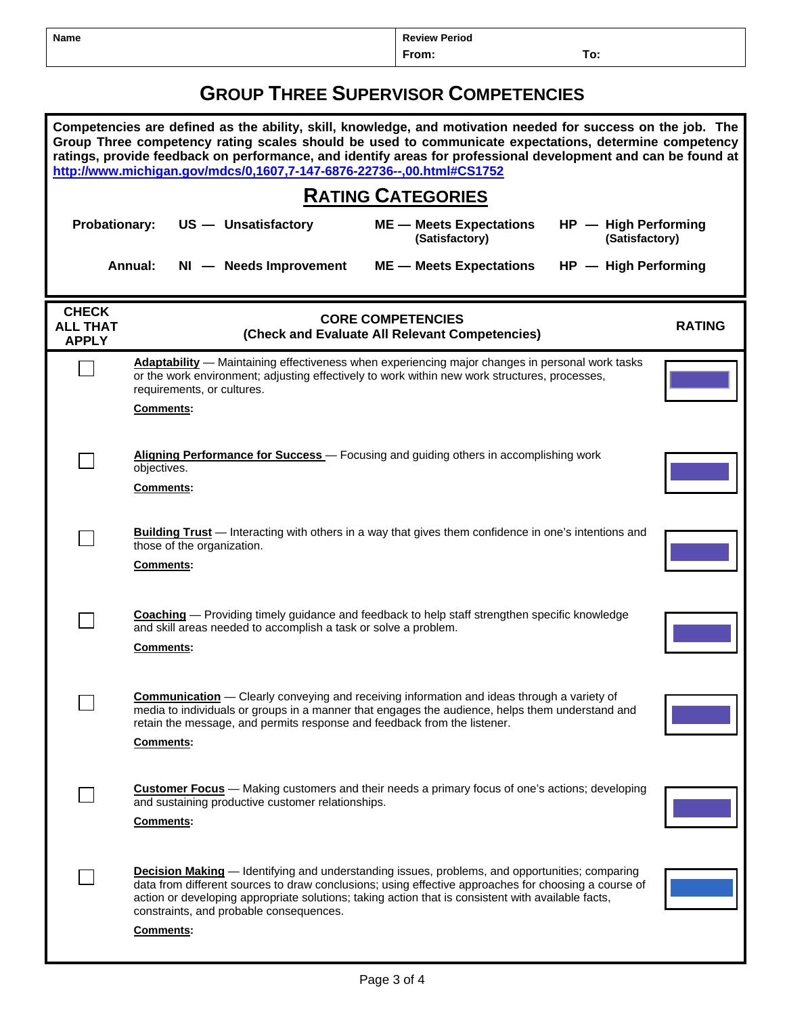| Name | <b>Review Period</b> |     |
|------|----------------------|-----|
|      | From:                | To: |

# **GROUP THREE SUPERVISOR COMPETENCIES**

| Competencies are defined as the ability, skill, knowledge, and motivation needed for success on the job. The<br>Group Three competency rating scales should be used to communicate expectations, determine competency<br>ratings, provide feedback on performance, and identify areas for professional development and can be found at<br>http://www.michigan.gov/mdcs/0,1607,7-147-6876-22736--,00.html#CS1752 |                                                                                                                                                                                                                                                                                                                                                                             |                                                  |                                        |
|-----------------------------------------------------------------------------------------------------------------------------------------------------------------------------------------------------------------------------------------------------------------------------------------------------------------------------------------------------------------------------------------------------------------|-----------------------------------------------------------------------------------------------------------------------------------------------------------------------------------------------------------------------------------------------------------------------------------------------------------------------------------------------------------------------------|--------------------------------------------------|----------------------------------------|
|                                                                                                                                                                                                                                                                                                                                                                                                                 | <b>RATING CATEGORIES</b>                                                                                                                                                                                                                                                                                                                                                    |                                                  |                                        |
| <b>Probationary:</b>                                                                                                                                                                                                                                                                                                                                                                                            | US - Unsatisfactory                                                                                                                                                                                                                                                                                                                                                         | <b>ME</b> - Meets Expectations<br>(Satisfactory) | HP - High Performing<br>(Satisfactory) |
|                                                                                                                                                                                                                                                                                                                                                                                                                 | Annual:<br>NI - Needs Improvement                                                                                                                                                                                                                                                                                                                                           | <b>ME</b> - Meets Expectations                   | HP - High Performing                   |
| <b>CHECK</b><br><b>ALL THAT</b><br><b>APPLY</b>                                                                                                                                                                                                                                                                                                                                                                 | <b>CORE COMPETENCIES</b><br>(Check and Evaluate All Relevant Competencies)                                                                                                                                                                                                                                                                                                  |                                                  | <b>RATING</b>                          |
|                                                                                                                                                                                                                                                                                                                                                                                                                 | <b>Adaptability</b> - Maintaining effectiveness when experiencing major changes in personal work tasks<br>or the work environment; adjusting effectively to work within new work structures, processes,<br>requirements, or cultures.<br>Comments:                                                                                                                          |                                                  |                                        |
|                                                                                                                                                                                                                                                                                                                                                                                                                 | Aligning Performance for Success - Focusing and guiding others in accomplishing work<br>objectives.<br>Comments:                                                                                                                                                                                                                                                            |                                                  |                                        |
|                                                                                                                                                                                                                                                                                                                                                                                                                 | Building Trust - Interacting with others in a way that gives them confidence in one's intentions and<br>those of the organization.<br>Comments:                                                                                                                                                                                                                             |                                                  |                                        |
|                                                                                                                                                                                                                                                                                                                                                                                                                 | <b>Coaching</b> — Providing timely guidance and feedback to help staff strengthen specific knowledge<br>and skill areas needed to accomplish a task or solve a problem.<br><b>Comments:</b>                                                                                                                                                                                 |                                                  |                                        |
|                                                                                                                                                                                                                                                                                                                                                                                                                 | <b>Communication</b> – Clearly conveying and receiving information and ideas through a variety of<br>media to individuals or groups in a manner that engages the audience, helps them understand and<br>retain the message, and permits response and feedback from the listener.<br>Comments:                                                                               |                                                  |                                        |
|                                                                                                                                                                                                                                                                                                                                                                                                                 | <b>Customer Focus</b> - Making customers and their needs a primary focus of one's actions; developing<br>and sustaining productive customer relationships.<br>Comments:                                                                                                                                                                                                     |                                                  |                                        |
|                                                                                                                                                                                                                                                                                                                                                                                                                 | <b>Decision Making</b> — Identifying and understanding issues, problems, and opportunities; comparing<br>data from different sources to draw conclusions; using effective approaches for choosing a course of<br>action or developing appropriate solutions; taking action that is consistent with available facts,<br>constraints, and probable consequences.<br>Comments: |                                                  |                                        |